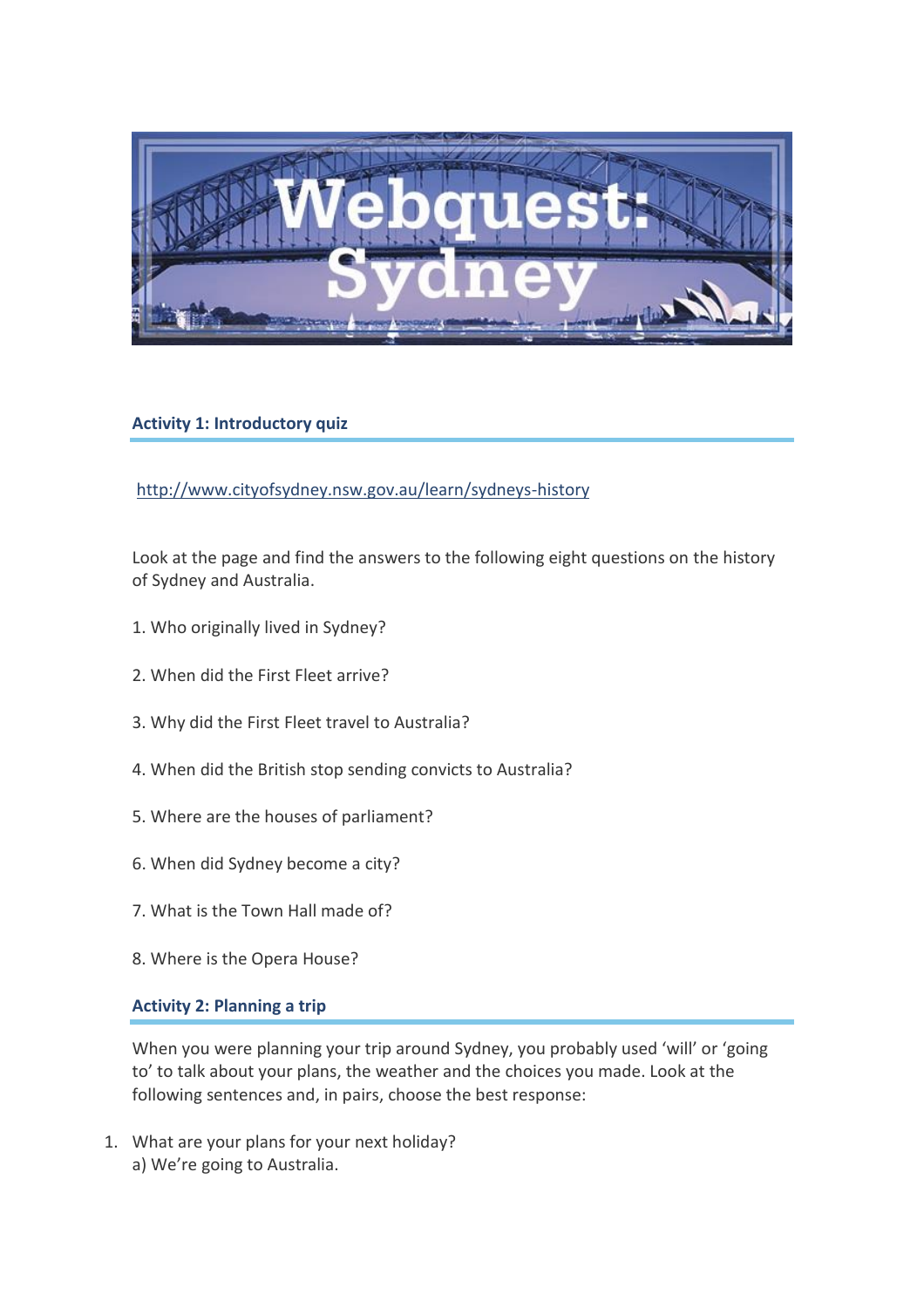

## **Activity 1: Introductory quiz**

<http://www.cityofsydney.nsw.gov.au/learn/sydneys-history>

Look at the page and find the answers to the following eight questions on the history of Sydney and Australia.

- 1. Who originally lived in Sydney?
- 2. When did the First Fleet arrive?
- 3. Why did the First Fleet travel to Australia?
- 4. When did the British stop sending convicts to Australia?
- 5. Where are the houses of parliament?
- 6. When did Sydney become a city?
- 7. What is the Town Hall made of?
- 8. Where is the Opera House?

## **Activity 2: Planning a trip**

When you were planning your trip around Sydney, you probably used 'will' or 'going to' to talk about your plans, the weather and the choices you made. Look at the following sentences and, in pairs, choose the best response:

1. What are your plans for your next holiday? a) We're going to Australia.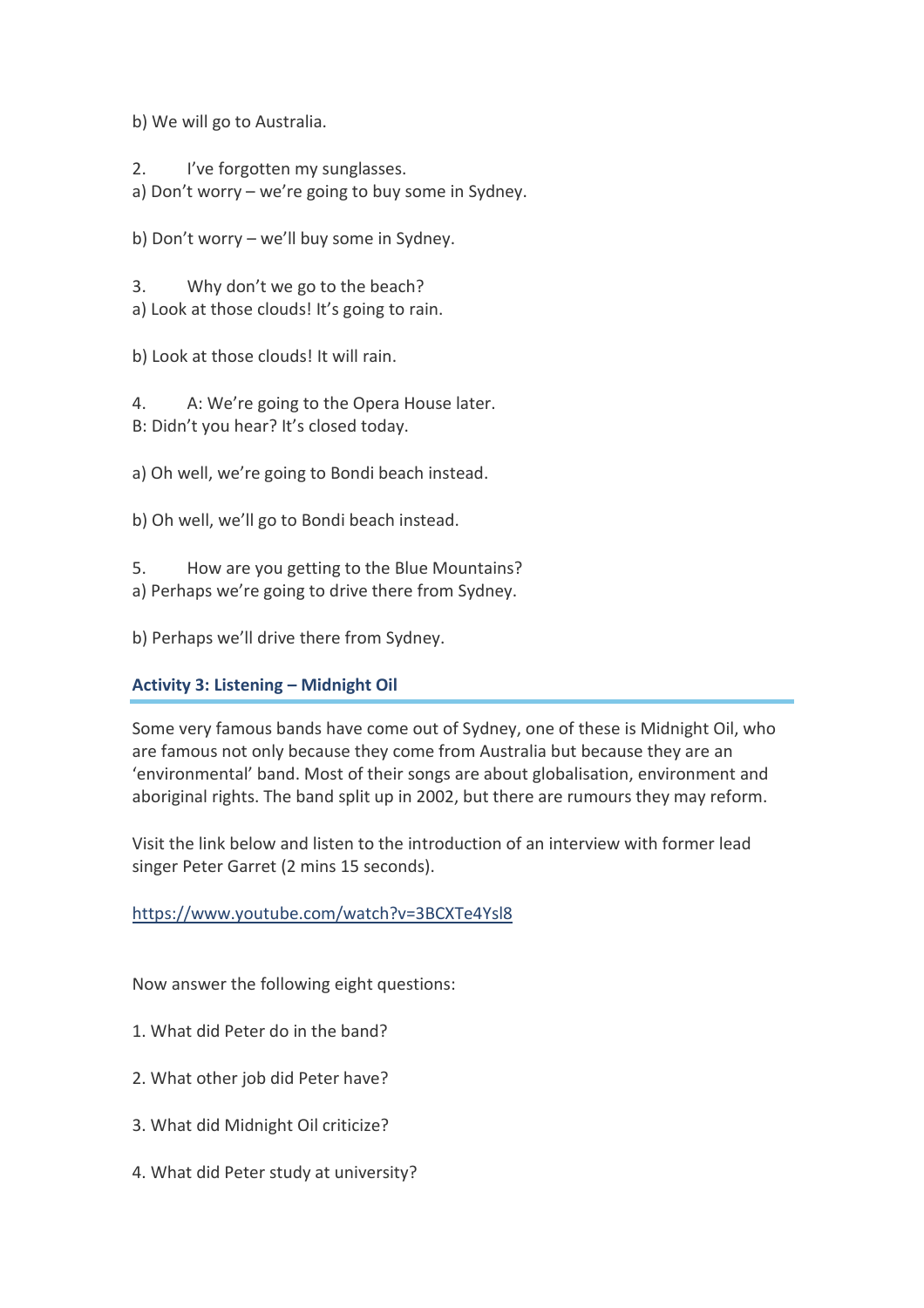b) We will go to Australia.

2. I've forgotten my sunglasses.

a) Don't worry – we're going to buy some in Sydney.

b) Don't worry – we'll buy some in Sydney.

3. Why don't we go to the beach? a) Look at those clouds! It's going to rain.

b) Look at those clouds! It will rain.

4. A: We're going to the Opera House later. B: Didn't you hear? It's closed today.

a) Oh well, we're going to Bondi beach instead.

b) Oh well, we'll go to Bondi beach instead.

5. How are you getting to the Blue Mountains? a) Perhaps we're going to drive there from Sydney.

b) Perhaps we'll drive there from Sydney.

## **Activity 3: Listening – Midnight Oil**

Some very famous bands have come out of Sydney, one of these is Midnight Oil, who are famous not only because they come from Australia but because they are an 'environmental' band. Most of their songs are about globalisation, environment and aboriginal rights. The band split up in 2002, but there are rumours they may reform.

Visit the link below and listen to the introduction of an interview with former lead singer Peter Garret (2 mins 15 seconds).

<https://www.youtube.com/watch?v=3BCXTe4Ysl8>

Now answer the following eight questions:

- 1. What did Peter do in the band?
- 2. What other job did Peter have?
- 3. What did Midnight Oil criticize?
- 4. What did Peter study at university?